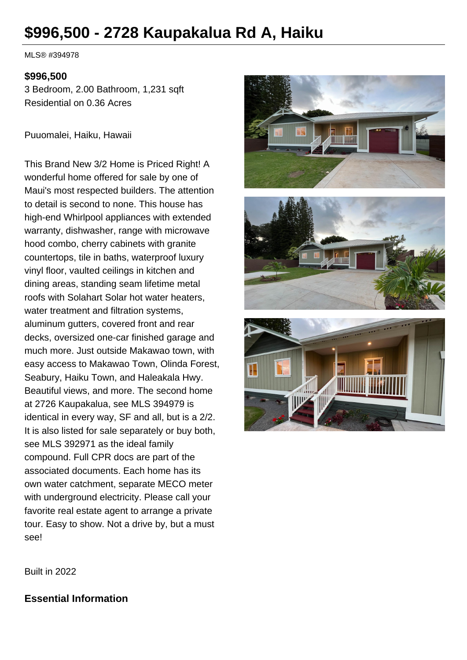# **\$996,500 - 2728 Kaupakalua Rd A, Haiku**

MLS® #394978

#### **\$996,500**

3 Bedroom, 2.00 Bathroom, 1,231 sqft Residential on 0.36 Acres

Puuomalei, Haiku, Hawaii

This Brand New 3/2 Home is Priced Right! A wonderful home offered for sale by one of Maui's most respected builders. The attention to detail is second to none. This house has high-end Whirlpool appliances with extended warranty, dishwasher, range with microwave hood combo, cherry cabinets with granite countertops, tile in baths, waterproof luxury vinyl floor, vaulted ceilings in kitchen and dining areas, standing seam lifetime metal roofs with Solahart Solar hot water heaters, water treatment and filtration systems, aluminum gutters, covered front and rear decks, oversized one-car finished garage and much more. Just outside Makawao town, with easy access to Makawao Town, Olinda Forest, Seabury, Haiku Town, and Haleakala Hwy. Beautiful views, and more. The second home at 2726 Kaupakalua, see MLS 394979 is identical in every way, SF and all, but is a 2/2. It is also listed for sale separately or buy both, see MLS 392971 as the ideal family compound. Full CPR docs are part of the associated documents. Each home has its own water catchment, separate MECO meter with underground electricity. Please call your favorite real estate agent to arrange a private tour. Easy to show. Not a drive by, but a must see!



Built in 2022

#### **Essential Information**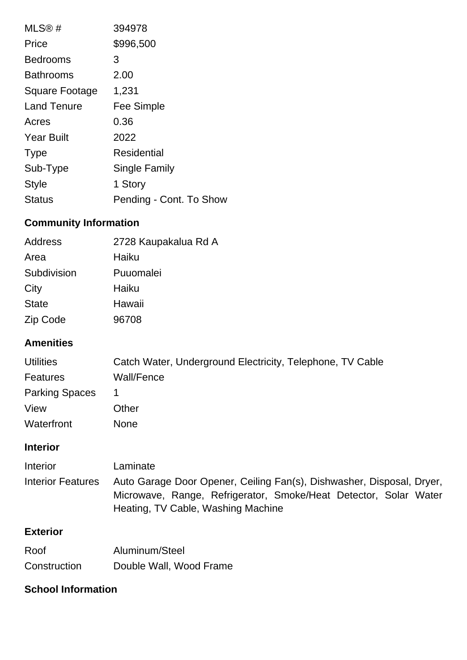| MLS@#              | 394978                  |
|--------------------|-------------------------|
| Price              | \$996,500               |
| <b>Bedrooms</b>    | 3                       |
| <b>Bathrooms</b>   | 2.00                    |
| Square Footage     | 1,231                   |
| <b>Land Tenure</b> | <b>Fee Simple</b>       |
| Acres              | 0.36                    |
| <b>Year Built</b>  | 2022                    |
| <b>Type</b>        | Residential             |
| Sub-Type           | Single Family           |
| <b>Style</b>       | 1 Story                 |
| <b>Status</b>      | Pending - Cont. To Show |

# **Community Information**

| Address      | 2728 Kaupakalua Rd A |
|--------------|----------------------|
| Area         | Haiku                |
| Subdivision  | Puuomalei            |
| City         | Haiku                |
| <b>State</b> | Hawaii               |
| Zip Code     | 96708                |
|              |                      |

## **Amenities**

| <b>Utilities</b>      | Catch Water, Underground Electricity, Telephone, TV Cable |
|-----------------------|-----------------------------------------------------------|
| <b>Features</b>       | Wall/Fence                                                |
| <b>Parking Spaces</b> |                                                           |
| View                  | Other                                                     |
| Waterfront            | None                                                      |

#### **Interior**

| <b>Interior</b>   | Laminate                                                                                                                                                                        |
|-------------------|---------------------------------------------------------------------------------------------------------------------------------------------------------------------------------|
| Interior Features | Auto Garage Door Opener, Ceiling Fan(s), Dishwasher, Disposal, Dryer,<br>Microwave, Range, Refrigerator, Smoke/Heat Detector, Solar Water<br>Heating, TV Cable, Washing Machine |

## **Exterior**

| Roof         | Aluminum/Steel          |
|--------------|-------------------------|
| Construction | Double Wall, Wood Frame |

#### **School Information**